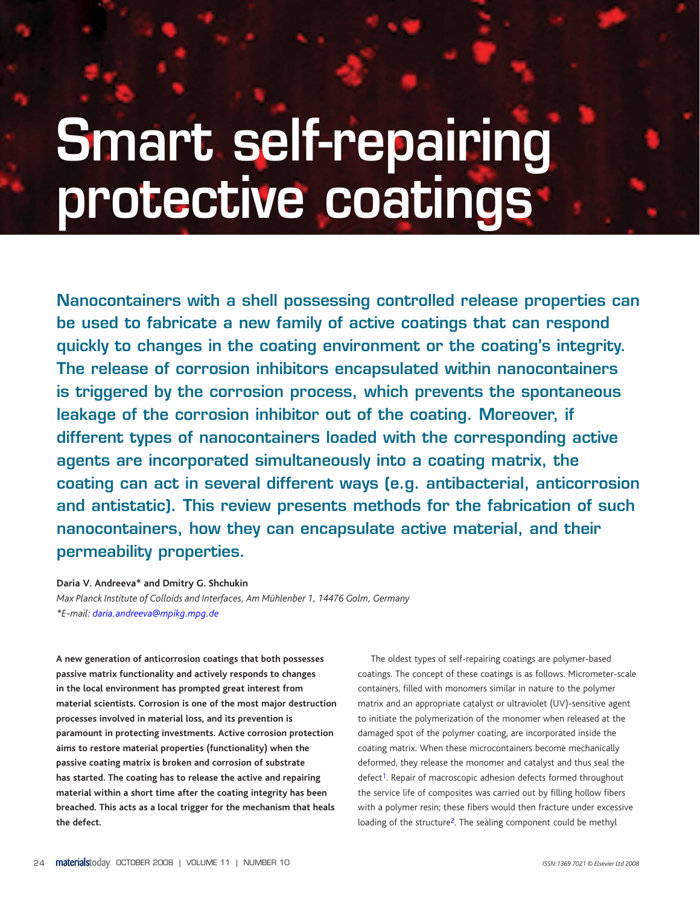24 OCTOBER 2008 | VOLUME 11 | NUMBER 10 *ISSN:1369 7021 © Elsevier Ltd 2008*

MT1110p24\_31.indd 24 18/09/2008 15:15:11

⊕

# **Smart self-repairing protective coatings**

◈

**A new generation of anticorrosion coatings that both possesses passive matrix functionality and actively responds to changes in the local environment has prompted great interest from material scientists. Corrosion is one of the most major destruction processes involved in material loss, and its prevention is paramount in protecting investments. Active corrosion protection aims to restore material properties (functionality) when the** 

**passive coating matrix is broken and corrosion of substrate has started. The coating has to release the active and repairing material within a short time after the coating integrity has been breached. This acts as a local trigger for the mechanism that heals the defect.**

The oldest types of self-repairing coatings are polymer-based coatings. The concept of these coatings is as follows. Micrometer-scale containers, filled with monomers similar in nature to the polymer matrix and an appropriate catalyst or ultraviolet (UV)-sensitive agent to initiate the polymerization of the monomer when released at the damaged spot of the polymer coating, are incorporated inside the coating matrix. When these microcontainers become mechanically

deformed, they release the monomer and catalyst and thus seal the defect<sup>1</sup>. Repair of macroscopic adhesion defects formed throughout the service life of composites was carried out by filling hollow fibers with a polymer resin; these fibers would then fracture under excessive loading of the structure2. The sealing component could be methyl

**Nanocontainers with a shell possessing controlled release properties can be used to fabricate a new family of active coatings that can respond quickly to changes in the coating environment or the coating's integrity. The release of corrosion inhibitors encapsulated within nanocontainers is triggered by the corrosion process, which prevents the spontaneous leakage of the corrosion inhibitor out of the coating. Moreover, if different types of nanocontainers loaded with the corresponding active agents are incorporated simultaneously into a coating matrix, the coating can act in several different ways (e.g. antibacterial, anticorrosion and antistatic). Thi[s](#page-6-0) review presents methods for the fabrication of such nanocontainers, how they can encapsulate active material, and their permeability properties.**

**Daria V. Andreeva\* and Dmitry G. Shchukin** *Max Planck Institute of Colloids and Interfaces, Am Mühlenber 1, 14476 Golm, Germany \*E-mail: daria.andreeva@mpikg.mpg.de*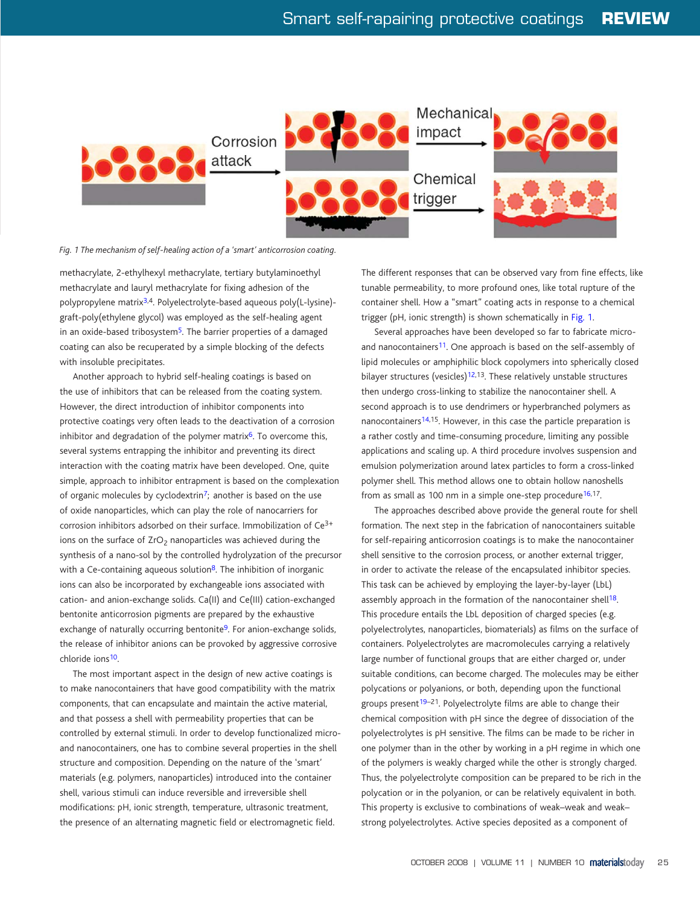# Smart self-rapairing protective coatings **REVIEW**



◈

Another approach to hybrid self-healing coatings is based on the use of inhibitors that can be released from the coating system. However, the direct introduction of inhibitor components into protective coatings very often leads to the deactivation of a corrosion inhibitor and degradation of the polymer matrix<sup>6</sup>. To overcome this, several systems entrapping the inhibitor and preventing its direct interaction with the coating matrix have been developed. One, quite simple, approach to inhibitor entrapment is based on the complexation of organic molecules by cyclodextrin<sup>7</sup>; another is based on the use of oxide nanoparticles, which can play the role of nanocarriers for corrosion inhibitors adsorbed on their surface. Immobilization of Ce3+ ions on the surface of  $ZrO<sub>2</sub>$  nanoparticles was achieved during the synthesis of a nano-sol by the controlled hydrolyzation of the precursor with a Ce-containing aqueous solution<sup>8</sup>. The inhibition of inorganic ions can also be incorporated by exchangeable ions associated with cation- and anion-exchange solids. Ca(II) and Ce(III) cation-exchanged bentonite anticorrosion pigments are prepared by the exhaustive exchange of naturally occurring bentonite<sup>9</sup>. For anion-exchange solids, the release of inhibitor anions can be provoked by aggressive corrosive chloride ions<sup>10</sup>.

methacrylate, 2-ethylhexyl methacrylate, tertiary butylaminoethyl methacrylate and lauryl methacrylate for fixing adhesion of the polypropylene matrix3,4. Polyelectrolyte-based aqueous poly(L-lysine) graft-poly(ethylene glycol) was employed as the self-healing agent in an oxide-based tribosystem<sup>5</sup>. The barrier properties of a damaged coating can also be recuperated by a simple blocking of the defects with insoluble precipitates.

Several approac[he](#page-6-0)s have been developed so far to fabricate microand nanocontainers<sup>11</sup>. One approach is based on the self-assembly of lipid molecules or amphiphilic block copolymers into spherically closed bilayer structures (vesicles)<sup>12,13</sup>. These relatively unstable structures then undergo cross-linking to stabilize the nanocontainer shell. A second approach is to use dendrimers or hyperbranched polymers as nanocontainers<sup>14,15</sup>. However, in this case the particle preparation is a rather costly and time-consuming procedure, limiting any possible applications and scaling up. A third procedure involves suspension and emulsion polymerization around latex particles to form a cross-linked polymer shell. This method allows one to obtain hollow nanoshells from as small as 100 nm in a simple one-step procedure $16,17$ .

The most important aspect in the design of new active coatings is to make nanocontainers that have good compatibility with the matrix components, that can encapsulate and maintain the active material, and that possess a shell with permeability properties that can be controlled by external stimuli. In order to develop functionalized microand nanocontainers, one has to combine several properties in the shell

structure and composition. Depending on the nature of the 'smart' materials (e.g. polymers, nanoparticles) introduced into the container shell, various stimuli can induce reversible and irreversible shell modifications: pH, ionic strength, temperature, ultrasonic treatment, the presence of an alternating magnetic field or electromagnetic field.

OCTOBER 2008 | VOLUME 11 | NUMBER 10 **materialst**oday 25

MT1110p24\_31.indd 25 18/09/2008 15:15:43

 $\bigoplus$ 

The different responses that can be observed vary from fine effects, like tunable permeability, to more profound ones, like total rupture of the container shell. How a "smart" coating acts in response to a chemical trigger (pH, ionic strength) is shown schematically in Fig. 1.

The approaches described above provide the general route for shell formation. The next step in the fabrication of nanocontainers suitable for self-repairing anticorrosion coatings is to make the nanocontainer shell sensitive to the corrosion process, or another external trigger, in order to activate the release of the encapsulated inhibitor species. This task can be achieved by employing the layer-by-layer (LbL) assembly approach in the formation of the nanocontainer shell<sup>18</sup>. This procedure entails the LbL deposition of charged species (e.g. polyelectrolytes, nanoparticles, biomaterials) as films on the surface of containers. Polyelectrolytes are macromolecules carrying a relatively large number of functional groups that are either charged or, under suitable conditions, can become charged. The molecules may be either polycations or polyanions, or both, depending upon the functional groups present<sup>19-21</sup>. Polyelectrolyte films are able to change their chemical composition with pH since the degree of dissociation of the polyelectrolytes is pH sensitive. The films can be made to be richer in one polymer than in the other by working in a pH regime in which one of the polymers is weakly charged while the other is strongly charged. Thus, the polyelectrolyte composition can be prepared to be rich in the polycation or in the polyanion, or can be relatively equivalent in both. This property is exclusive to combinations of weak–weak and weak– strong polyelectrolytes. Active species deposited as a component of

*Fig. 1 The mechanism of self-healing action of a 'smart' anticorrosion coating.*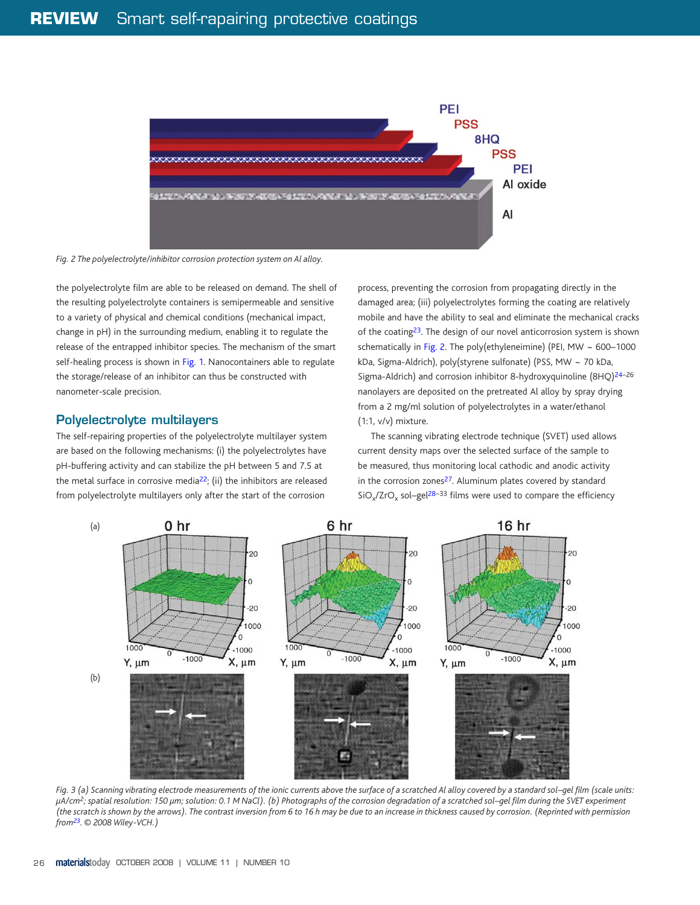## ◈

# **REVIEW** Smart self-rapairing protective coatings



the polyelectrolyte film are able to be released on demand. The shell of the resulting polyelectrolyte containers is semipermeable and sensitive to a variety of physical and chemical conditions (mechanical impact, change in pH) in the surrounding medium, enabling it to regulate the release of the entrapped inhibitor species. The mechanism of the smart self-healing process is shown in Fig. 1. Nanocontainers able to regulate the storage/release of an inhibitor can thus be constructed with nanometer-scale precision.

#### **Polyelectrolyte multilayers**

The self-repairing properties of the polyelectrolyte multilayer system are based on the following mechanisms: (i) the polyelectrolytes have pH-buffering activity and can stabilize the pH between 5 and 7.5 at the metal surface in corrosive media<sup>22</sup>; (ii) the inhibitors are released from polyelectrolyte multilayers only after the start of the corrosion

The scanning vibrating electrode technique (SVET) used allows current density maps over the selected surface of the sample to be measured, thus monitoring local cathodic and anodic activity in the corrosion zones<sup>27</sup>. Aluminum plates covered by standard  $SiO_x/ZrO_x$  sol–gel<sup>28–33</sup> films were used to compare the efficiency

process, preventing the corrosion from propagating directly in the damaged area; (iii) polyelectrolytes forming the coating are relatively mobile and have the ability to seal and eliminate the mechanical cracks of the coating23. The design of our novel anticorrosion system is shown schematically in Fig. 2. The poly(ethyleneimine) (PEI, MW ~ 600-1000 kDa, Sigma-Aldrich), poly(styrene sulfonate) (PSS, MW ~ 70 kDa, Sigma-Aldrich) and corrosion inhibitor 8-hydroxyquinoline (8HQ)24–26 nanolayers are deposited on the pretreated Al alloy by spray drying from a 2 mg/ml solution of polyelectrolytes in a water/ethanol (1:1, v/v) mixture.

*Fig. 3 (a) Scanning vibrating electrode measurements of the ionic currents above the surface of a scratched Al alloy covered by a standard sol–gel film (scale units: µA/cm2; spatial resolution: 150 µm; solution: 0.1 M NaCl). (b) Photographs of the corrosion degradation of a scratched sol–gel film during the SVET experiment (the scratch is shown by the arrows). The contrast inversion from 6 to 16 h may be due to an increase in thickness caused by corrosion. (Reprinted with permission from23. © 2008 Wiley-VCH.)*

26 **materialstoday** OCTOBER 2008 | VOLUME 11 | NUMBER 10

MT1110p24\_31.indd 26 18/09/2008 15:15:45

 $\bigoplus$ 

*Fig. 2 The polyelectrolyte/inhibitor corrosion protection system on Al alloy.*



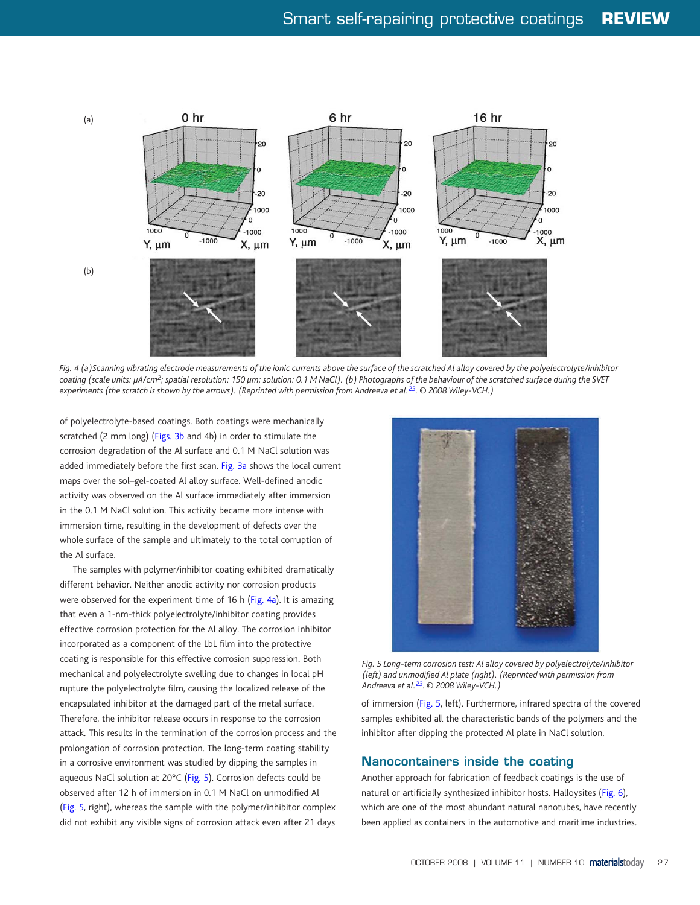

of polyelectrolyte-based coatings. Both coatin[gs w](#page-6-0)ere mechanically scratched (2 mm long) (Figs. 3b and 4b) in order to stimulate the corrosion degradation of the Al surface and 0.1 M NaCl solution was added immediately before the first scan. Fig. 3a shows the local current maps over the sol–gel-coated Al alloy surface. Well-defined anodic activity was observed on the Al surface immediately after immersion in the 0.1 M NaCl solution. This activity became more intense with immersion time, resulting in the development of defects over the whole surface of the sample and ultimately to the total corruption of the Al surface.

The samples with polymer/inhibitor coating exhibited dramatically different behavior. Neither anodic activity nor corrosion products were observed for the experiment time of 16 h (Fig. 4a). It is amazing that even a 1-nm-thick polyelectrolyte/inhibitor coating provides effective corrosion protection for the Al alloy. The corrosion inhibitor incorporated as a component of the LbL film into the protective coating is responsible for this effective corrosion suppression. Both mechanical and polyelectrolyte swelling due to changes in local pH rupture the polyelectrolyte film, causing the localized release of the encapsulated inhibitor at the damaged part of the metal surface. Therefore, the inhibitor release occurs in response to the corrosion attack. This results in the termination of the corrosion process and the prolongation of corrosion protection. The long-term coating stability

in a corrosive environment was studied by dipping the samples in aqueous NaCl solution at 20°C (Fig. 5). Corrosion defects could be observed after 12 h of immersion in 0.1 M NaCl on unmodified Al (Fig. 5, right), whereas the sample with the polymer/inhibitor complex did not exhibit any visible signs of corrosion attack even after 21 days

of immersion (Fig. 5, left). Furthermore, infrared spectra of the covered samples exhibited all the characteristic bands of the polymers and the inhibitor after dipping the protected Al plate in NaCl solution.

#### **Nanocontainers inside the coating**

Another approach for fabrication of feedback coatings is the use of natural or artificially synthesized inhibitor hosts. Halloysites (Fig. 6), which are one of the most abundant natural nanotubes, have recently been applied as containers in the automotive and maritime industries.

OCTOBER 2008 | VOLUME 11 | NUMBER 10 **materialst**oday 27

MT1110p24\_31.indd 27 18/09/2008 15:15:48



*Fig. 4 (a)Scanning vibrating electrode measurements of the ionic currents above the surface of the scratched Al alloy covered by the polyelectrolyte/inhibitor coating (scale units: µA/cm2; spatial resolution: 150 µm; solution: 0.1 M NaCl). (b) Photographs of the behaviour of the scratched surface during the SVET experiments (the scratch is shown by the arrows). (Reprinted with permission from Andreeva et al.23. © 2008 Wiley-VCH.)*



*Fig. 5 Long-term corrosion test: Al alloy covered by polyelectrolyte/inhibitor (left) and unmodified Al plate (right). (Reprinted with permission from Andreeva et al.23. © 2008 Wiley-VCH.)*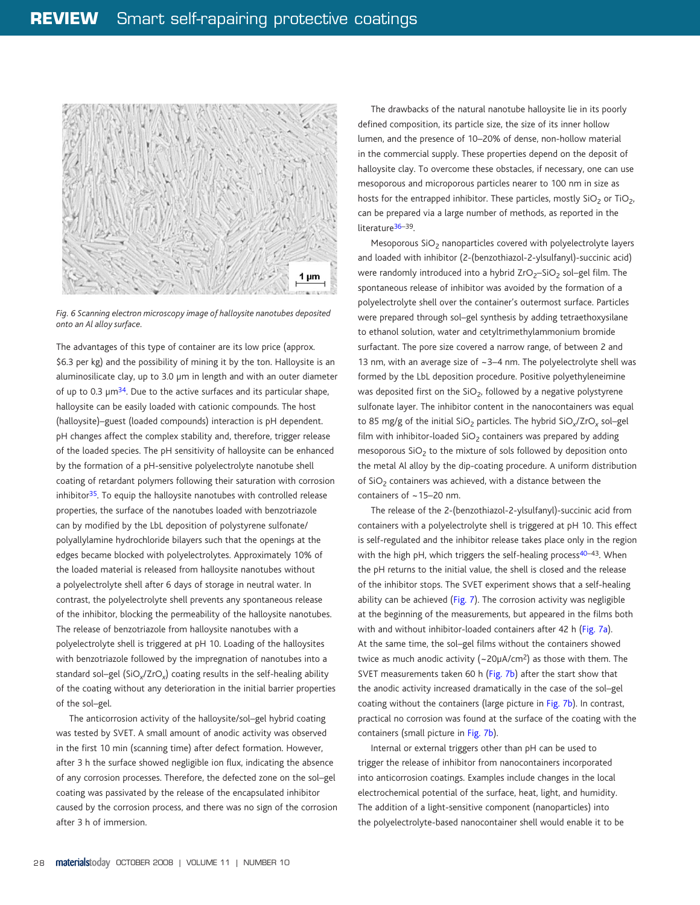## $\bigoplus$

# **REVIEW** Smart self-rapairing protective coatings

The advantages of this type of container are its low price (approx. \$6.3 per kg) and the possibility of mining it by the ton. Halloysite is an aluminosilicate clay, up to 3.0 µm in length and with an outer diameter of up to 0.3  $\mu$ m<sup>34</sup>. Due to the active surfaces and its particular shape, halloysite can be easily loaded with cationic compounds. The hos[t](#page-5-0)  (halloysite)–guest (loaded compounds) interaction is pH dependent. pH changes affect the complex stability and, therefore, trigger release of the loaded species. The pH sensitivity of halloysite can be enhanced by the formation of a pH-sensitive polyelectrolyte nanotube [shell](#page-5-0)  coating of retardant polymers following their saturation with corrosion inhibitor $35$ . To equip the halloysite nanotubes with controlled release properties, the surface of the nanotubes loaded with benzotriazole can by modified by the LbL deposition of polystyrene sulfonate/ polyallylamine hydrochloride bilayers such that the openings at the edges became blocked with polyelectrolytes. Approximately 10% of the loaded material is released from halloysite nanotubes without a polyelectrolyte shell after 6 days of storage in neutral water. In contrast, the polyelectrolyte shell prevents any spontaneous release of the inhibitor, blocking the permeability of the halloysite nanotubes. The release of benzotriazole from halloysite nanotubes with a polyelectrolyte shell is triggered at pH 10. Loading of the halloysites with benzotriazole followed by the impregnation of nanotubes into a standard sol–gel (SiO*x*/ZrO*x*) coating results in the self-healing ability of the coating without any deterioration in the initial barrier properties of the sol–gel.

The drawbacks of the natural nanotube halloysite lie in its poorly defined composition, its particle size, the size of its inner hollow lumen, and the presence of 10–20% of dense, non-hollow material in the commercial supply. These properties depend on the deposit of halloysite clay. To overcome these obstacles, if necessary, one can use mesoporous and microporous particles nearer to 100 nm in size as hosts for the entrapped inhibitor. These particles, mostly  $SiO<sub>2</sub>$  or TiO<sub>2</sub>, can be prepared via a large number of methods, as reported in the literature<sup>36-39</sup>.

The anticorrosion activity of the halloysite/sol–gel hybrid coating was tested by SVET. A small amount of anodic activity was observed in the first 10 min (scanning time) after defect formation. However,

Mesoporous SiO<sub>2</sub> nanoparticles covered with polyelectrolyte layers and loaded with inhibitor (2-(benzothiazol-2-ylsulfanyl)-succinic acid) were randomly introduced into a hybrid  $ZrO<sub>2</sub>$ –SiO<sub>2</sub> sol–gel film. The spontaneou[s rel](#page-6-0)ease of inhibitor was avoided by the formation of a polyelectrolyte shell over the container's outermost surface. Particles were prepared through sol–gel synthesis by adding tetraethoxysilane to ethanol solution, water and cetyltrimethylammonium bromide surfactant. The pore size covered a narrow range, of between 2 and 13 nm, wit[h an aver](#page-5-0)age size of ~3–4 nm. The polyelectrolyte shell was formed by the LbL deposition procedure. Positive polyethyleneimine was deposited first on the  $SiO<sub>2</sub>$ , followed by a negative polystyrene sulfonate layer. The inhibitor content in the nanocontainers was equal to 85 mg/g of the initial SiO2 particles. The hybrid SiO*x*/ZrO*x* sol–gel film [with in](#page-5-0)hibitor-loaded  $SiO<sub>2</sub>$  containers was prepared by adding mesoporous  $SiO<sub>2</sub>$  to the mixture of sols followed by deposition onto the metal Al alloy by the dip-coating procedure. A uniform distribution of  $SiO<sub>2</sub>$  containers was achieved, with a distance between the containers of ~15–20 nm.

after 3 h the surface showed negligible ion flux, indicating the absence of any corrosion processes. Therefore, the defected zone on the sol–gel coating was passivated by the release of the encapsulated inhibitor caused by the corrosion process, and there was no sign of the corrosion after 3 h of immersion.

The release of the 2-(benzothiazol-2-ylsulfanyl)-succinic acid from containers with a polyelectrolyte shell is triggered at pH 10. This effect is self-regulated and the inhibitor release takes place only in the region with the high pH, which triggers the self-healing process<sup>40-43</sup>. When the pH returns to the initial value, the shell is closed and the release of the inhibitor stops. The SVET experiment shows that a self-healing ability can be achieved (Fig. 7). The corrosion activity was negligible at the beginning of the measurements, but appeared in the films both with and without inhibitor-loaded containers after 42 h (Fig. 7a). At the same time, the sol–gel films without the containers showed twice as much anodic activity (~20µA/cm2) as those with them. The SVET measurements taken 60 h (Fig. 7b) after the start show that the anodic activity increased dramatically in the case of the sol–gel coating without the containers (large picture in Fig. 7b). In contrast, practical no corrosion was found at the surface of the coating with the containers (small picture in Fig. 7b).

Internal or external triggers other than pH can be used to

trigger the release of inhibitor from nanocontainers incorporated into anticorrosion coatings. Examples include changes in the local electrochemical potential of the surface, heat, light, and humidity. The addition of a light-sensitive component (nanoparticles) into the polyelectrolyte-based nanocontainer shell would enable it to be

28 **materialstoday** OCTOBER 2008 | VOLUME 11 | NUMBER 10

MT1110p24\_31.indd 28 18/09/2008 15:15:51



*Fig. 6 Scanning electron microscopy image of halloysite nanotubes deposited onto an Al alloy surface.*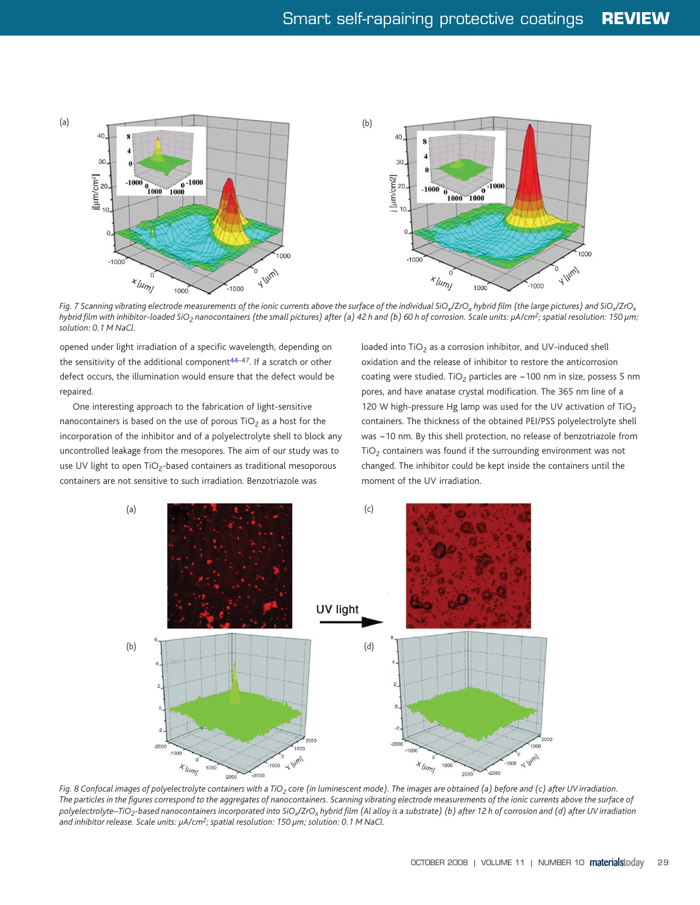# Smart self-rapairing protective coatings **REVIEW**

opened under light irradiation of a specific wavelength, depending on the sensitivity of the additional component $44-47$ . If a scratch or other defect occurs, the illumination would ensure that the defect would be repaired.

One interesting approach to the fabrication of light-sensitive nanocontainers is based on the use of porous  $TiO<sub>2</sub>$  as a host for the incorporation of the inhibitor and of a polyelectrolyte shell to block any uncontrolled leakage from the mesopores. The aim of our study was to use UV light to open  $TiO_2$ -based containers as traditional mesoporous containers are not sensitive to such irradiation. Benzotriazole was

loaded into  $TiO<sub>2</sub>$  as a corrosion inhibitor, and UV-induced shell oxidation and the release of inhibitor to restore the anticorrosion coating were studied. TiO<sub>2</sub> particles are  $\sim$  100 nm in size, possess 5 nm pores, and have anatase crystal modification. The 365 nm line of a 120 W high-pressure Hg lamp was used for the UV activation of TiO<sub>2</sub> containers. The thickness of the obtained PEI/PSS polyelectrolyte shell was ~10 nm. By this shell protection, no release of benzotriazole from  $TiO<sub>2</sub>$  containers was found if the surrounding environment was not changed. The inhibitor could be kept inside the containers until the moment of the UV irradiation.

*Fig. 8 Confocal images of polyelectrolyte containers with a TiO<sub>2</sub> core (in luminescent mode). The images are obtained (a) before and (c) after UV irradiation. The particles in the figures correspond to the aggregates of nanocontainers. Scanning vibrating electrode measurements of the ionic currents above the surface of polyelectrolyte–TiO2-based nanocontainers incorporated into SiOx/ZrOx hybrid film (Al alloy is a substrate) (b) after 12 h of corrosion and (d) after UV irradiation and inhibitor release. Scale units: µA/cm2; spatial resolution: 150 µm; solution: 0.1 M NaCl.* 

OCTOBER 2008 | VOLUME 11 | NUMBER 10 **materialst**oday 29

MT1110p24\_31.indd 29 18/09/2008 15:15:52

 $\bigoplus$ 

*Fig. 7 Scanning vibrating electrode measurements of the ionic currents above the surface of the individual SiOx/ZrOx hybrid film (the large pictures) and SiOx/ZrOx* hybrid film with inhibitor-loaded SiO<sub>2</sub> nanocontainers (the small pictures) after (a) 42 h and (b) 60 h of corrosion. Scale units: µA/cm<sup>2</sup>; spatial resolution: 150 µm; *solution: 0.1 M NaCl.*

<span id="page-5-0"></span>

◈